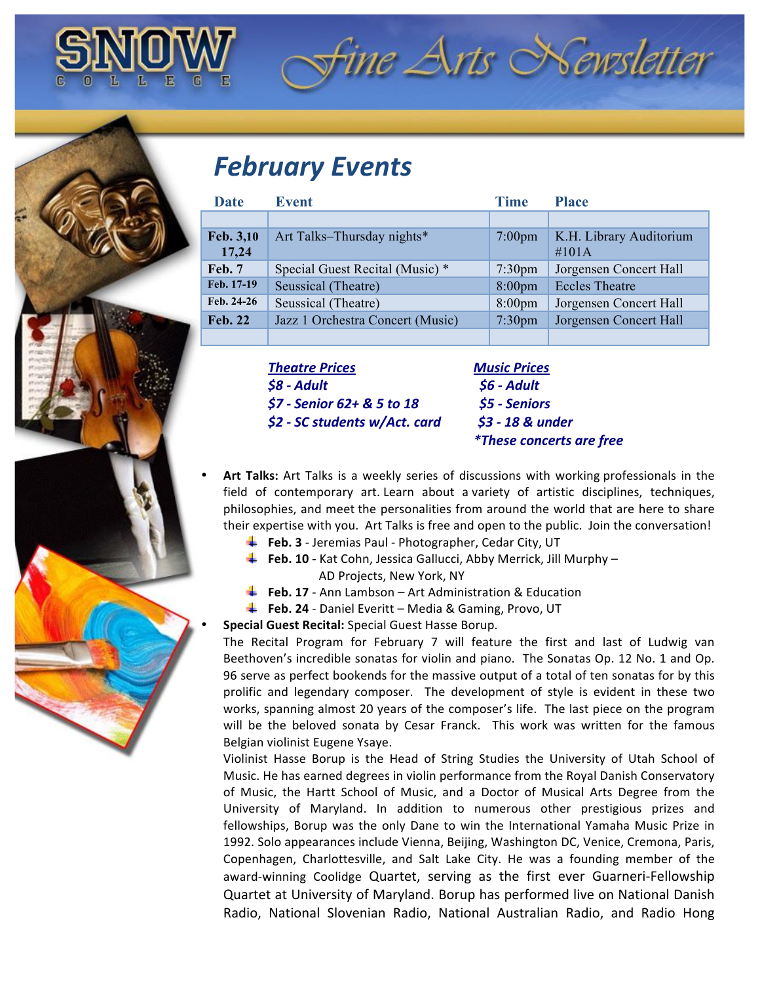

## **February Events**

| <b>Date</b>        | <b>Event</b>                     | <b>Time</b>        | <b>Place</b>                        |
|--------------------|----------------------------------|--------------------|-------------------------------------|
|                    |                                  |                    |                                     |
| Feb. 3,10<br>17,24 | Art Talks-Thursday nights*       | $7:00 \text{pm}$   | K.H. Library Auditorium<br>$\#101A$ |
| Feb. 7             | Special Guest Recital (Music) *  | $7:30 \text{pm}$   | Jorgensen Concert Hall              |
| Feb. 17-19         | Seussical (Theatre)              | $8:00$ pm          | <b>Eccles Theatre</b>               |
| Feb. 24-26         | Seussical (Theatre)              | $8:00$ pm          | Jorgensen Concert Hall              |
| <b>Feb. 22</b>     | Jazz 1 Orchestra Concert (Music) | 7:30 <sub>pm</sub> | Jorgensen Concert Hall              |
|                    |                                  |                    |                                     |

*Theatre(Prices!!!!!!!!!!!!!!!!!!!!!!!!!!!!!!!!!!!Music(Prices \$8 6 Adult(((((((((((((((((((((((((((((((((((((((((((((\$6(6 Adult \$7 6 Senior(62+(&(5(to(18((((((((((((((((((\$5(6 Seniors \$2 6 SC(students(w/Act.(card(((((((((((\$3(6(18(&(under*

*((((((((\*These(concerts(are(free*

fine Arts Newsletter

Art Talks: Art Talks is a weekly series of discussions with working professionals in the field of contemporary art. Learn about a variety of artistic disciplines, techniques, philosophies, and meet the personalities from around the world that are here to share their expertise with you. Art Talks is free and open to the public. Join the conversation!

- Feb. 3 Jeremias Paul Photographer, Cedar City, UT
- **Feb. 10** Kat Cohn, Jessica Gallucci, Abby Merrick, Jill Murphy **AD Projects, New York, NY**
- **Feb. 17** Ann Lambson Art Administration & Education
- Feb. 24 Daniel Everitt Media & Gaming, Provo, UT

**Special Guest Recital: Special Guest Hasse Borup.** 

The Recital Program for February 7 will feature the first and last of Ludwig van Beethoven's incredible sonatas for violin and piano. The Sonatas Op. 12 No. 1 and Op. 96 serve as perfect bookends for the massive output of a total of ten sonatas for by this prolific and legendary composer. The development of style is evident in these two works, spanning almost 20 years of the composer's life. The last piece on the program will be the beloved sonata by Cesar Franck. This work was written for the famous Belgian violinist Eugene Ysaye.

Violinist Hasse Borup is the Head of String Studies the University of Utah School of Music. He has earned degrees in violin performance from the Royal Danish Conservatory of Music, the Hartt School of Music, and a Doctor of Musical Arts Degree from the University of Maryland. In addition to numerous other prestigious prizes and fellowships, Borup was the only Dane to win the International Yamaha Music Prize in 1992. Solo appearances include Vienna, Beijing, Washington DC, Venice, Cremona, Paris, Copenhagen, Charlottesville, and Salt Lake City. He was a founding member of the award-winning Coolidge Quartet, serving as the first ever Guarneri-Fellowship Quartet at University of Maryland. Borup has performed live on National Danish Radio, National Slovenian Radio, National Australian Radio, and Radio Hong